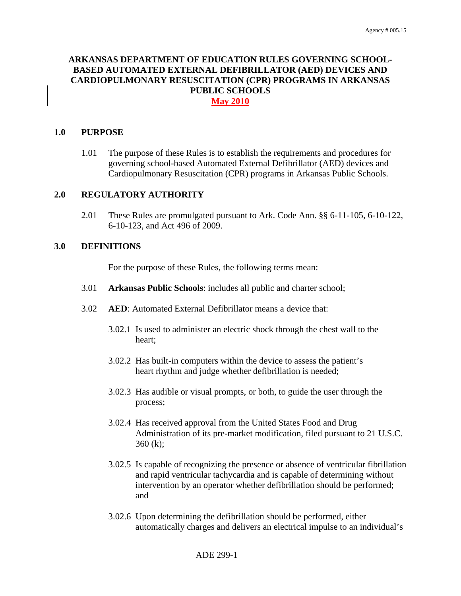# **ARKANSAS DEPARTMENT OF EDUCATION RULES GOVERNING SCHOOL-BASED AUTOMATED EXTERNAL DEFIBRILLATOR (AED) DEVICES AND CARDIOPULMONARY RESUSCITATION (CPR) PROGRAMS IN ARKANSAS PUBLIC SCHOOLS May 2010**

#### **1.0 PURPOSE**

1.01 The purpose of these Rules is to establish the requirements and procedures for governing school-based Automated External Defibrillator (AED) devices and Cardiopulmonary Resuscitation (CPR) programs in Arkansas Public Schools.

## **2.0 REGULATORY AUTHORITY**

2.01 These Rules are promulgated pursuant to Ark. Code Ann. §§ 6-11-105, 6-10-122, 6-10-123, and Act 496 of 2009.

## **3.0 DEFINITIONS**

For the purpose of these Rules, the following terms mean:

- 3.01 **Arkansas Public Schools**: includes all public and charter school;
- 3.02 **AED**: Automated External Defibrillator means a device that:
	- 3.02.1 Is used to administer an electric shock through the chest wall to the heart;
	- 3.02.2 Has built-in computers within the device to assess the patient's heart rhythm and judge whether defibrillation is needed;
	- 3.02.3 Has audible or visual prompts, or both, to guide the user through the process;
	- 3.02.4 Has received approval from the United States Food and Drug Administration of its pre-market modification, filed pursuant to 21 U.S.C. 360 (k);
	- 3.02.5 Is capable of recognizing the presence or absence of ventricular fibrillation and rapid ventricular tachycardia and is capable of determining without intervention by an operator whether defibrillation should be performed; and
	- 3.02.6 Upon determining the defibrillation should be performed, either automatically charges and delivers an electrical impulse to an individual's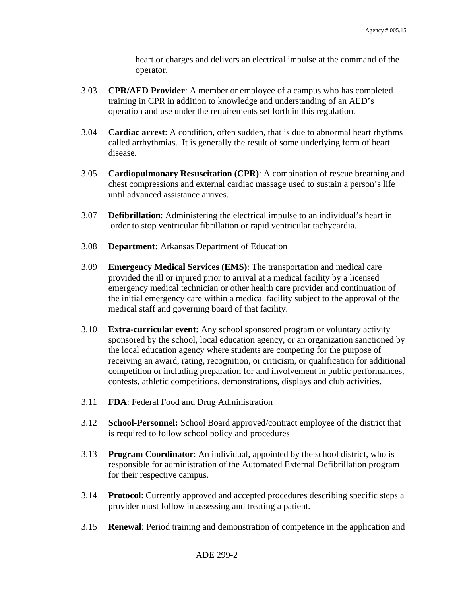heart or charges and delivers an electrical impulse at the command of the operator.

- 3.03 **CPR/AED Provider**: A member or employee of a campus who has completed training in CPR in addition to knowledge and understanding of an AED's operation and use under the requirements set forth in this regulation.
- 3.04 **Cardiac arrest**: A condition, often sudden, that is due to abnormal heart rhythms called arrhythmias. It is generally the result of some underlying form of heart disease.
- 3.05 **Cardiopulmonary Resuscitation (CPR)**: A combination of rescue breathing and chest compressions and external cardiac massage used to sustain a person's life until advanced assistance arrives.
- 3.07 **Defibrillation**: Administering the electrical impulse to an individual's heart in order to stop ventricular fibrillation or rapid ventricular tachycardia.
- 3.08 **Department:** Arkansas Department of Education
- 3.09 **Emergency Medical Services (EMS)**: The transportation and medical care provided the ill or injured prior to arrival at a medical facility by a licensed emergency medical technician or other health care provider and continuation of the initial emergency care within a medical facility subject to the approval of the medical staff and governing board of that facility.
- 3.10 **Extra-curricular event:** Any school sponsored program or voluntary activity sponsored by the school, local education agency, or an organization sanctioned by the local education agency where students are competing for the purpose of receiving an award, rating, recognition, or criticism, or qualification for additional competition or including preparation for and involvement in public performances, contests, athletic competitions, demonstrations, displays and club activities.
- 3.11 **FDA**: Federal Food and Drug Administration
- 3.12 **School-Personnel:** School Board approved/contract employee of the district that is required to follow school policy and procedures
- 3.13 **Program Coordinator**: An individual, appointed by the school district, who is responsible for administration of the Automated External Defibrillation program for their respective campus.
- 3.14 **Protocol**: Currently approved and accepted procedures describing specific steps a provider must follow in assessing and treating a patient.
- 3.15 **Renewal**: Period training and demonstration of competence in the application and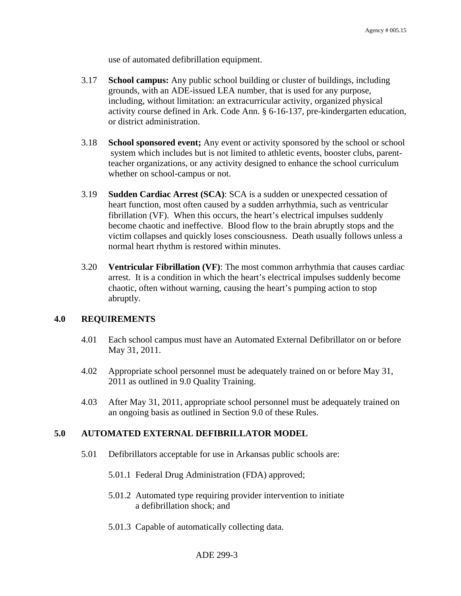use of automated defibrillation equipment.

- 3.17 **School campus:** Any public school building or cluster of buildings, including grounds, with an ADE-issued LEA number, that is used for any purpose, including, without limitation: an extracurricular activity, organized physical activity course defined in Ark. Code Ann. § 6-16-137, pre-kindergarten education, or district administration.
- 3.18 **School sponsored event;** Any event or activity sponsored by the school or school system which includes but is not limited to athletic events, booster clubs, parentteacher organizations, or any activity designed to enhance the school curriculum whether on school-campus or not.
- 3.19 **Sudden Cardiac Arrest (SCA)**: SCA is a sudden or unexpected cessation of heart function, most often caused by a sudden arrhythmia, such as ventricular fibrillation (VF). When this occurs, the heart's electrical impulses suddenly become chaotic and ineffective. Blood flow to the brain abruptly stops and the victim collapses and quickly loses consciousness. Death usually follows unless a normal heart rhythm is restored within minutes.
- 3.20 **Ventricular Fibrillation (VF)**: The most common arrhythmia that causes cardiac arrest. It is a condition in which the heart's electrical impulses suddenly become chaotic, often without warning, causing the heart's pumping action to stop abruptly.

## **4.0 REQUIREMENTS**

- 4.01 Each school campus must have an Automated External Defibrillator on or before May 31, 2011.
- 4.02 Appropriate school personnel must be adequately trained on or before May 31, 2011 as outlined in 9.0 Quality Training.
- 4.03 After May 31, 2011, appropriate school personnel must be adequately trained on an ongoing basis as outlined in Section 9.0 of these Rules.

## **5.0 AUTOMATED EXTERNAL DEFIBRILLATOR MODEL**

- 5.01 Defibrillators acceptable for use in Arkansas public schools are:
	- 5.01.1 Federal Drug Administration (FDA) approved;
	- 5.01.2 Automated type requiring provider intervention to initiate a defibrillation shock; and
	- 5.01.3 Capable of automatically collecting data.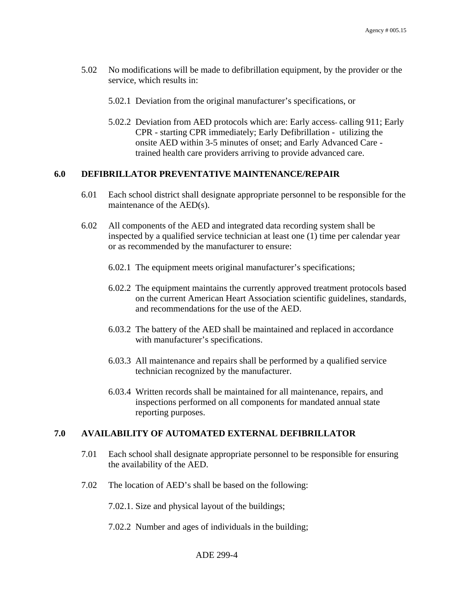- 5.02 No modifications will be made to defibrillation equipment, by the provider or the service, which results in:
	- 5.02.1 Deviation from the original manufacturer's specifications, or
	- 5.02.2 Deviation from AED protocols which are: Early access- calling 911; Early CPR - starting CPR immediately; Early Defibrillation - utilizing the onsite AED within 3-5 minutes of onset; and Early Advanced Care trained health care providers arriving to provide advanced care.

# **6.0 DEFIBRILLATOR PREVENTATIVE MAINTENANCE/REPAIR**

- 6.01 Each school district shall designate appropriate personnel to be responsible for the maintenance of the AED(s).
- 6.02 All components of the AED and integrated data recording system shall be inspected by a qualified service technician at least one (1) time per calendar year or as recommended by the manufacturer to ensure:
	- 6.02.1 The equipment meets original manufacturer's specifications;
	- 6.02.2 The equipment maintains the currently approved treatment protocols based on the current American Heart Association scientific guidelines, standards, and recommendations for the use of the AED.
	- 6.03.2 The battery of the AED shall be maintained and replaced in accordance with manufacturer's specifications.
	- 6.03.3 All maintenance and repairs shall be performed by a qualified service technician recognized by the manufacturer.
	- 6.03.4 Written records shall be maintained for all maintenance, repairs, and inspections performed on all components for mandated annual state reporting purposes.

#### **7.0 AVAILABILITY OF AUTOMATED EXTERNAL DEFIBRILLATOR**

- 7.01 Each school shall designate appropriate personnel to be responsible for ensuring the availability of the AED.
- 7.02 The location of AED's shall be based on the following:
	- 7.02.1. Size and physical layout of the buildings;
	- 7.02.2 Number and ages of individuals in the building;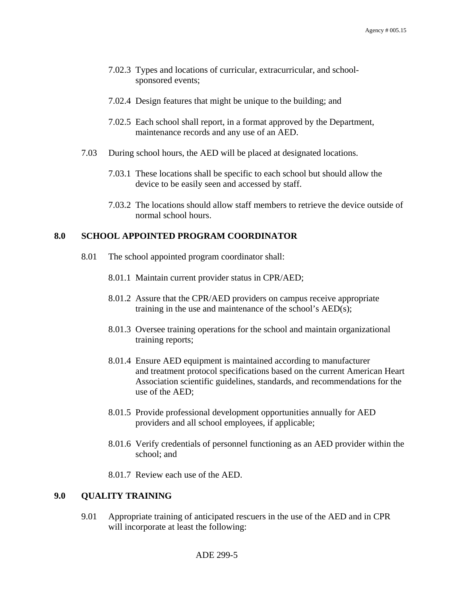- 7.02.3 Types and locations of curricular, extracurricular, and school sponsored events;
- 7.02.4 Design features that might be unique to the building; and
- 7.02.5 Each school shall report, in a format approved by the Department, maintenance records and any use of an AED.
- 7.03 During school hours, the AED will be placed at designated locations.
	- 7.03.1 These locations shall be specific to each school but should allow the device to be easily seen and accessed by staff.
	- 7.03.2 The locations should allow staff members to retrieve the device outside of normal school hours.

## **8.0 SCHOOL APPOINTED PROGRAM COORDINATOR**

- 8.01 The school appointed program coordinator shall:
	- 8.01.1 Maintain current provider status in CPR/AED;
	- 8.01.2 Assure that the CPR/AED providers on campus receive appropriate training in the use and maintenance of the school's AED(s);
	- 8.01.3 Oversee training operations for the school and maintain organizational training reports;
	- 8.01.4 Ensure AED equipment is maintained according to manufacturer and treatment protocol specifications based on the current American Heart Association scientific guidelines, standards, and recommendations for the use of the AED;
	- 8.01.5 Provide professional development opportunities annually for AED providers and all school employees, if applicable;
	- 8.01.6 Verify credentials of personnel functioning as an AED provider within the school; and
	- 8.01.7 Review each use of the AED.

## **9.0 QUALITY TRAINING**

9.01 Appropriate training of anticipated rescuers in the use of the AED and in CPR will incorporate at least the following: